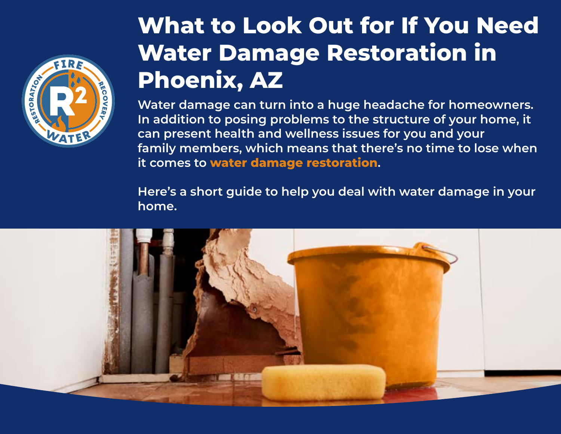

## **What to Look Out for If You Need Water Damage Restoration in Phoenix, AZ**

**Water damage can turn into a huge headache for homeowners. In addition to posing problems to the structure of your home, it can present health and wellness issues for you and your family members, which means that there's no time to lose when it comes to [water damage restoration](http://www.r2fw.com/services/water-damage-restoration).** 

**Here's a short guide to help you deal with water damage in your home.**

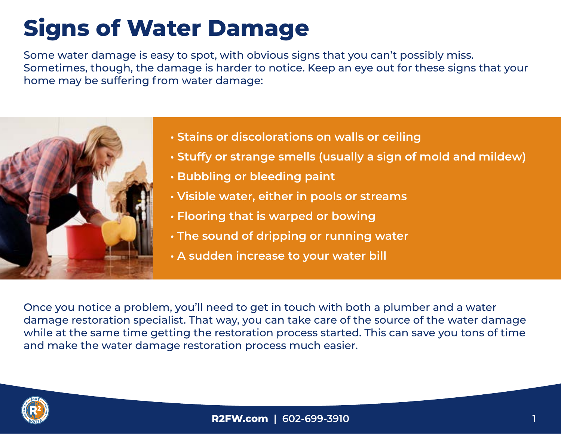# **Signs of Water Damage**

Some water damage is easy to spot, with obvious signs that you can't possibly miss. Sometimes, though, the damage is harder to notice. Keep an eye out for these signs that your home may be suffering from water damage:



- **Stains or discolorations on walls or ceiling**
- **Stuffy or strange smells (usually a sign of mold and mildew)**
- **Bubbling or bleeding paint**
- **Visible water, either in pools or streams**
- **Flooring that is warped or bowing**
- **The sound of dripping or running water**
- **A sudden increase to your water bill**

Once you notice a problem, you'll need to get in touch with both a plumber and a water damage restoration specialist. That way, you can take care of the source of the water damage while at the same time getting the restoration process started. This can save you tons of time and make the water damage restoration process much easier.

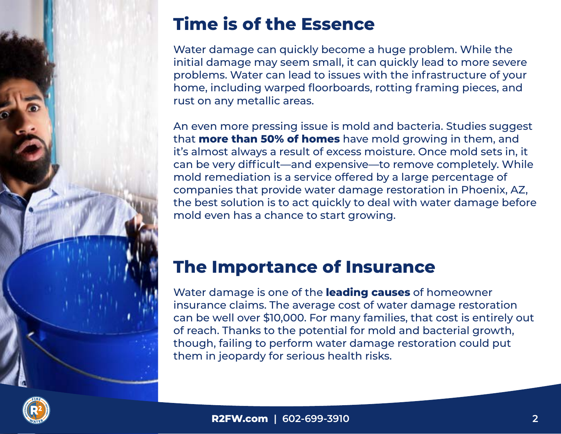

### **Time is of the Essence**

Water damage can quickly become a huge problem. While the initial damage may seem small, it can quickly lead to more severe problems. Water can lead to issues with the infrastructure of your home, including warped floorboards, rotting framing pieces, and rust on any metallic areas.

An even more pressing issue is mold and bacteria. Studies suggest that **[more than 50% of homes](https://www.thisoldhouse.com/home-safety/21014904/is-there-hidden-mold-in-your-home)** have mold growing in them, and it's almost always a result of excess moisture. Once mold sets in, it can be very difficult—and expensive—to remove completely. While mold remediation is a service offered by a large percentage of companies that provide water damage restoration in Phoenix, AZ, the best solution is to act quickly to deal with water damage before mold even has a chance to start growing.

#### **The Importance of Insurance**

Water damage is one of the **[leading causes](https://www.iii.org/fact-statistic/facts-statistics-homeowners-and-renters-insurance)** of homeowner insurance claims. The average cost of water damage restoration can be well over \$10,000. For many families, that cost is entirely out of reach. Thanks to the potential for mold and bacterial growth, though, failing to perform water damage restoration could put them in jeopardy for serious health risks.

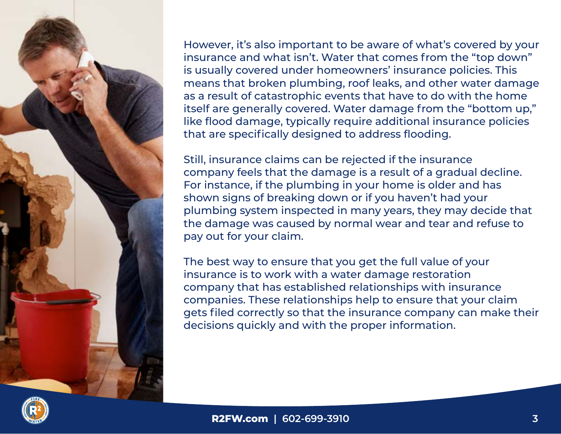

However, it's also important to be aware of what's covered by your insurance and what isn't. Water that comes from the "top down" is usually covered under homeowners' insurance policies. This means that broken plumbing, roof leaks, and other water damage as a result of catastrophic events that have to do with the home itself are generally covered. Water damage from the "bottom up," like flood damage, typically require additional insurance policies that are specifically designed to address flooding.

Still, insurance claims can be rejected if the insurance company feels that the damage is a result of a gradual decline. For instance, if the plumbing in your home is older and has shown signs of breaking down or if you haven't had your plumbing system inspected in many years, they may decide that the damage was caused by normal wear and tear and refuse to pay out for your claim.

The best way to ensure that you get the full value of your insurance is to work with a water damage restoration company that has established relationships with insurance companies. These relationships help to ensure that your claim gets filed correctly so that the insurance company can make their decisions quickly and with the proper information.